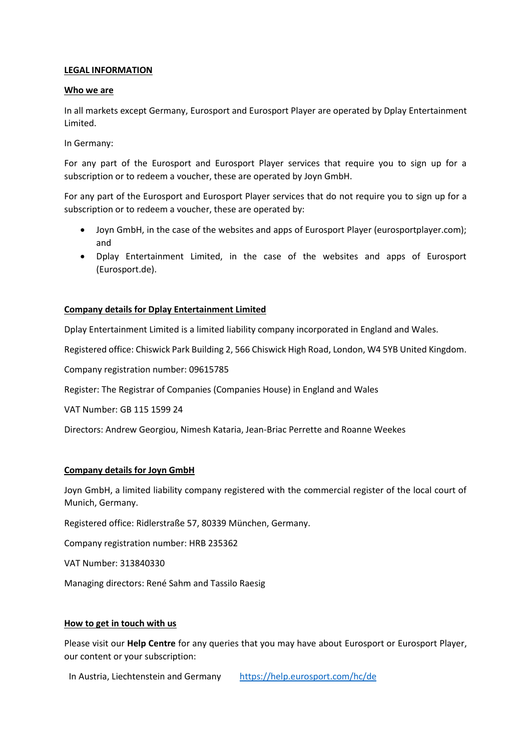## **LEGAL INFORMATION**

### **Who we are**

In all markets except Germany, Eurosport and Eurosport Player are operated by Dplay Entertainment Limited.

In Germany:

For any part of the Eurosport and Eurosport Player services that require you to sign up for a subscription or to redeem a voucher, these are operated by Joyn GmbH.

For any part of the Eurosport and Eurosport Player services that do not require you to sign up for a subscription or to redeem a voucher, these are operated by:

- Joyn GmbH, in the case of the websites and apps of Eurosport Player (eurosportplayer.com); and
- Dplay Entertainment Limited, in the case of the websites and apps of Eurosport (Eurosport.de).

### **Company details for Dplay Entertainment Limited**

Dplay Entertainment Limited is a limited liability company incorporated in England and Wales.

Registered office: Chiswick Park Building 2, 566 Chiswick High Road, London, W4 5YB United Kingdom.

Company registration number: 09615785

Register: The Registrar of Companies (Companies House) in England and Wales

VAT Number: GB 115 1599 24

Directors: Andrew Georgiou, Nimesh Kataria, Jean-Briac Perrette and Roanne Weekes

#### **Company details for Joyn GmbH**

Joyn GmbH, a limited liability company registered with the commercial register of the local court of Munich, Germany.

Registered office: Ridlerstraße 57, 80339 München, Germany.

Company registration number: HRB 235362

VAT Number: 313840330

Managing directors: René Sahm and Tassilo Raesig

#### **How to get in touch with us**

Please visit our **Help Centre** for any queries that you may have about Eurosport or Eurosport Player, our content or your subscription:

In Austria, Liechtenstein and Germany <https://help.eurosport.com/hc/de>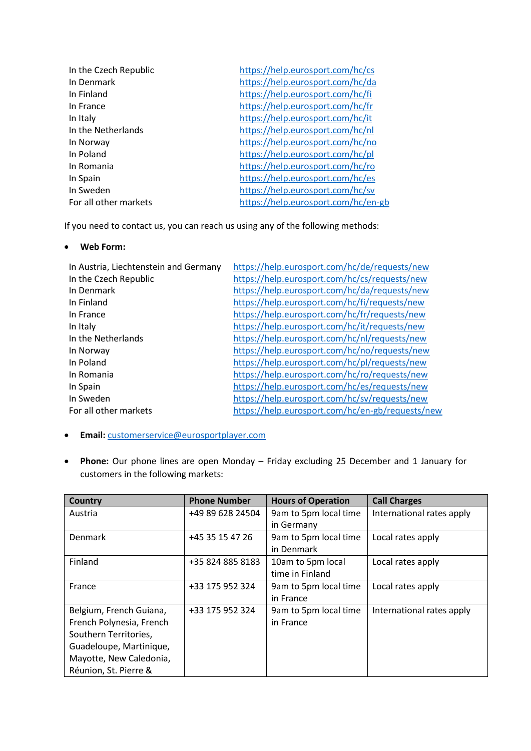| In the Czech Republic | https://help.eurosport.com/hc/cs    |
|-----------------------|-------------------------------------|
| In Denmark            | https://help.eurosport.com/hc/da    |
| In Finland            | https://help.eurosport.com/hc/fi    |
| In France             | https://help.eurosport.com/hc/fr    |
| In Italy              | https://help.eurosport.com/hc/it    |
| In the Netherlands    | https://help.eurosport.com/hc/nl    |
| In Norway             | https://help.eurosport.com/hc/no    |
| In Poland             | https://help.eurosport.com/hc/pl    |
| In Romania            | https://help.eurosport.com/hc/ro    |
| In Spain              | https://help.eurosport.com/hc/es    |
| In Sweden             | https://help.eurosport.com/hc/sv    |
| For all other markets | https://help.eurosport.com/hc/en-gb |
|                       |                                     |

If you need to contact us, you can reach us using any of the following methods:

## • **Web Form:**

| https://help.eurosport.com/hc/de/requests/new    |
|--------------------------------------------------|
| https://help.eurosport.com/hc/cs/requests/new    |
| https://help.eurosport.com/hc/da/requests/new    |
| https://help.eurosport.com/hc/fi/requests/new    |
| https://help.eurosport.com/hc/fr/requests/new    |
| https://help.eurosport.com/hc/it/requests/new    |
| https://help.eurosport.com/hc/nl/requests/new    |
| https://help.eurosport.com/hc/no/requests/new    |
| https://help.eurosport.com/hc/pl/requests/new    |
| https://help.eurosport.com/hc/ro/requests/new    |
| https://help.eurosport.com/hc/es/requests/new    |
| https://help.eurosport.com/hc/sv/requests/new    |
| https://help.eurosport.com/hc/en-gb/requests/new |
|                                                  |

- **Email:** [customerservice@eurosportplayer.com](mailto:customerservice@eurosportplayer.com)
- **Phone:** Our phone lines are open Monday Friday excluding 25 December and 1 January for customers in the following markets:

| <b>Country</b>           | <b>Phone Number</b> | <b>Hours of Operation</b> | <b>Call Charges</b>       |
|--------------------------|---------------------|---------------------------|---------------------------|
| Austria                  | +49 89 628 24504    | 9am to 5pm local time     | International rates apply |
|                          |                     | in Germany                |                           |
| Denmark                  | +45 35 15 47 26     | 9am to 5pm local time     | Local rates apply         |
|                          |                     | in Denmark                |                           |
| Finland                  | +35 824 885 8183    | 10am to 5pm local         | Local rates apply         |
|                          |                     | time in Finland           |                           |
| France                   | +33 175 952 324     | 9am to 5pm local time     | Local rates apply         |
|                          |                     | in France                 |                           |
| Belgium, French Guiana,  | +33 175 952 324     | 9am to 5pm local time     | International rates apply |
| French Polynesia, French |                     | in France                 |                           |
| Southern Territories,    |                     |                           |                           |
| Guadeloupe, Martinique,  |                     |                           |                           |
| Mayotte, New Caledonia,  |                     |                           |                           |
| Réunion, St. Pierre &    |                     |                           |                           |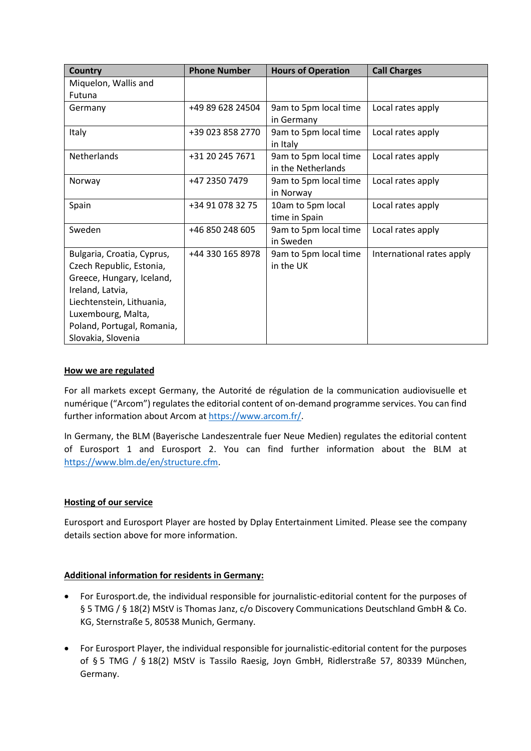| <b>Country</b>             | <b>Phone Number</b> | <b>Hours of Operation</b>                   | <b>Call Charges</b>       |
|----------------------------|---------------------|---------------------------------------------|---------------------------|
| Miquelon, Wallis and       |                     |                                             |                           |
| Futuna                     |                     |                                             |                           |
| Germany                    | +49 89 628 24504    | 9am to 5pm local time<br>in Germany         | Local rates apply         |
| <b>Italy</b>               | +39 023 858 2770    | 9am to 5pm local time<br>in Italy           | Local rates apply         |
| Netherlands                | +31 20 245 7671     | 9am to 5pm local time<br>in the Netherlands | Local rates apply         |
| Norway                     | +47 2350 7479       | 9am to 5pm local time<br>in Norway          | Local rates apply         |
| Spain                      | +34 91 078 32 75    | 10am to 5pm local<br>time in Spain          | Local rates apply         |
| Sweden                     | +46 850 248 605     | 9am to 5pm local time<br>in Sweden          | Local rates apply         |
| Bulgaria, Croatia, Cyprus, | +44 330 165 8978    | 9am to 5pm local time                       | International rates apply |
| Czech Republic, Estonia,   |                     | in the UK                                   |                           |
| Greece, Hungary, Iceland,  |                     |                                             |                           |
| Ireland, Latvia,           |                     |                                             |                           |
| Liechtenstein, Lithuania,  |                     |                                             |                           |
| Luxembourg, Malta,         |                     |                                             |                           |
| Poland, Portugal, Romania, |                     |                                             |                           |
| Slovakia, Slovenia         |                     |                                             |                           |

## **How we are regulated**

For all markets except Germany, the Autorité de régulation de la communication audiovisuelle et numérique ("Arcom") regulates the editorial content of on-demand programme services. You can find further information about Arcom at [https://www.arcom.fr/.](https://www.arcom.fr/)

In Germany, the BLM (Bayerische Landeszentrale fuer Neue Medien) regulates the editorial content of Eurosport 1 and Eurosport 2. You can find further information about the BLM at [https://www.blm.de/en/structure.cfm.](https://www.blm.de/en/structure.cfm)

# **Hosting of our service**

Eurosport and Eurosport Player are hosted by Dplay Entertainment Limited. Please see the company details section above for more information.

# **Additional information for residents in Germany:**

- For Eurosport.de, the individual responsible for journalistic-editorial content for the purposes of § 5 TMG / § 18(2) MStV is Thomas Janz, c/o Discovery Communications Deutschland GmbH & Co. KG, Sternstraße 5, 80538 Munich, Germany.
- For Eurosport Player, the individual responsible for journalistic-editorial content for the purposes of § 5 TMG / § 18(2) MStV is Tassilo Raesig, Joyn GmbH, Ridlerstraße 57, 80339 München, Germany.